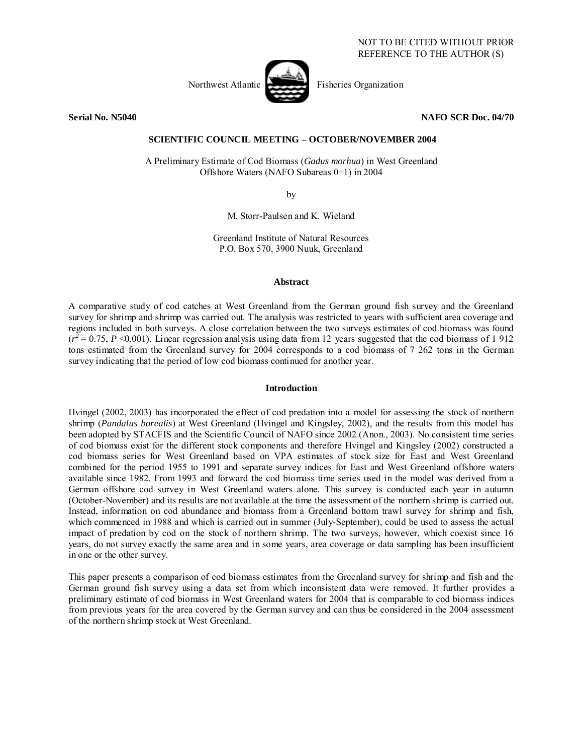

**Serial No. N5040 NAFO SCR Doc. 04/70** 

## **SCIENTIFIC COUNCIL MEETING – OCTOBER/NOVEMBER 2004**

A Preliminary Estimate of Cod Biomass (*Gadus morhua*) in West Greenland Offshore Waters (NAFO Subareas 0+1) in 2004

by

M. Storr-Paulsen and K. Wieland

Greenland Institute of Natural Resources P.O. Box 570, 3900 Nuuk, Greenland

#### **Abstract**

A comparative study of cod catches at West Greenland from the German ground fish survey and the Greenland survey for shrimp and shrimp was carried out. The analysis was restricted to years with sufficient area coverage and regions included in both surveys. A close correlation between the two surveys estimates of cod biomass was found  $(r^2 = 0.75, P \le 0.001)$ . Linear regression analysis using data from 12 years suggested that the cod biomass of 1912 tons estimated from the Greenland survey for 2004 corresponds to a cod biomass of 7 262 tons in the German survey indicating that the period of low cod biomass continued for another year.

#### **Introduction**

Hvingel (2002, 2003) has incorporated the effect of cod predation into a model for assessing the stock of northern shrimp (*Pandalus borealis*) at West Greenland (Hvingel and Kingsley, 2002), and the results from this model has been adopted by STACFIS and the Scientific Council of NAFO since 2002 (Anon., 2003). No consistent time series of cod biomass exist for the different stock components and therefore Hvingel and Kingsley (2002) constructed a cod biomass series for West Greenland based on VPA estimates of stock size for East and West Greenland combined for the period 1955 to 1991 and separate survey indices for East and West Greenland offshore waters available since 1982. From 1993 and forward the cod biomass time series used in the model was derived from a German offshore cod survey in West Greenland waters alone. This survey is conducted each year in autumn (October-November) and its results are not available at the time the assessment of the northern shrimp is carried out. Instead, information on cod abundance and biomass from a Greenland bottom trawl survey for shrimp and fish, which commenced in 1988 and which is carried out in summer (July-September), could be used to assess the actual impact of predation by cod on the stock of northern shrimp. The two surveys, however, which coexist since 16 years, do not survey exactly the same area and in some years, area coverage or data sampling has been insufficient in one or the other survey.

This paper presents a comparison of cod biomass estimates from the Greenland survey for shrimp and fish and the German ground fish survey using a data set from which inconsistent data were removed. It further provides a preliminary estimate of cod biomass in West Greenland waters for 2004 that is comparable to cod biomass indices from previous years for the area covered by the German survey and can thus be considered in the 2004 assessment of the northern shrimp stock at West Greenland.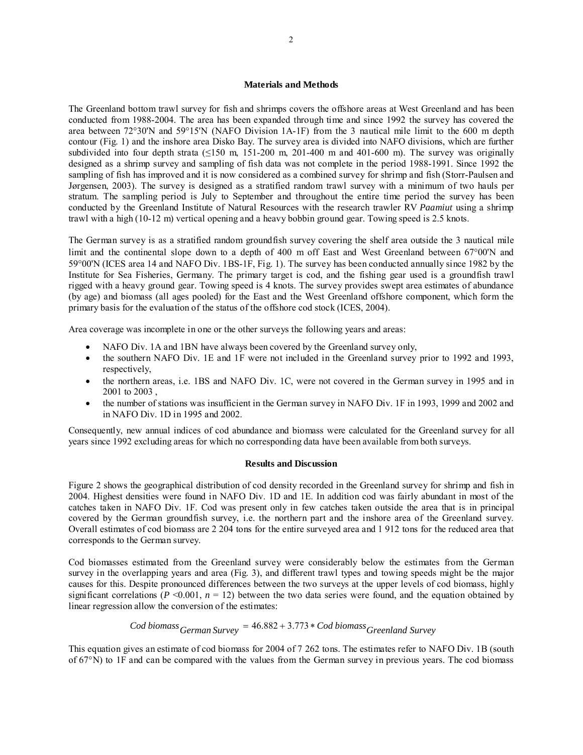## **Materials and Methods**

The Greenland bottom trawl survey for fish and shrimps covers the offshore areas at West Greenland and has been conducted from 1988-2004. The area has been expanded through time and since 1992 the survey has covered the area between 72°30'N and 59°15'N (NAFO Division 1A-1F) from the 3 nautical mile limit to the 600 m depth contour (Fig. 1) and the inshore area Disko Bay. The survey area is divided into NAFO divisions, which are further subdivided into four depth strata ( $\leq$ 150 m, 151-200 m, 201-400 m and 401-600 m). The survey was originally designed as a shrimp survey and sampling of fish data was not complete in the period 1988-1991. Since 1992 the sampling of fish has improved and it is now considered as a combined survey for shrimp and fish (Storr-Paulsen and Jørgensen, 2003). The survey is designed as a stratified random trawl survey with a minimum of two hauls per stratum. The sampling period is July to September and throughout the entire time period the survey has been conducted by the Greenland Institute of Natural Resources with the research trawler RV *Paamiut* using a shrimp trawl with a high (10-12 m) vertical opening and a heavy bobbin ground gear. Towing speed is 2.5 knots.

The German survey is as a stratified random groundfish survey covering the shelf area outside the 3 nautical mile limit and the continental slope down to a depth of 400 m off East and West Greenland between 67°00'N and 59°00'N (ICES area 14 and NAFO Div. 1BS-1F, Fig. 1). The survey has been conducted annually since 1982 by the Institute for Sea Fisheries, Germany. The primary target is cod, and the fishing gear used is a groundfish trawl rigged with a heavy ground gear. Towing speed is 4 knots. The survey provides swept area estimates of abundance (by age) and biomass (all ages pooled) for the East and the West Greenland offshore component, which form the primary basis for the evaluation of the status of the offshore cod stock (ICES, 2004).

Area coverage was incomplete in one or the other surveys the following years and areas:

- NAFO Div. 1A and 1BN have always been covered by the Greenland survey only,
- the southern NAFO Div. 1E and 1F were not included in the Greenland survey prior to 1992 and 1993, respectively,
- the northern areas, i.e. 1BS and NAFO Div. 1C, were not covered in the German survey in 1995 and in 2001 to 2003 ,
- the number of stations was insufficient in the German survey in NAFO Div. 1F in 1993, 1999 and 2002 and in NAFO Div. 1D in 1995 and 2002.

Consequently, new annual indices of cod abundance and biomass were calculated for the Greenland survey for all years since 1992 excluding areas for which no corresponding data have been available from both surveys.

### **Results and Discussion**

Figure 2 shows the geographical distribution of cod density recorded in the Greenland survey for shrimp and fish in 2004. Highest densities were found in NAFO Div. 1D and 1E. In addition cod was fairly abundant in most of the catches taken in NAFO Div. 1F. Cod was present only in few catches taken outside the area that is in principal covered by the German groundfish survey, i.e. the northern part and the inshore area of the Greenland survey. Overall estimates of cod biomass are 2 204 tons for the entire surveyed area and 1 912 tons for the reduced area that corresponds to the German survey.

Cod biomasses estimated from the Greenland survey were considerably below the estimates from the German survey in the overlapping years and area (Fig. 3), and different trawl types and towing speeds might be the major causes for this. Despite pronounced differences between the two surveys at the upper levels of cod biomass, highly significant correlations ( $P \le 0.001$ ,  $n = 12$ ) between the two data series were found, and the equation obtained by linear regression allow the conversion of the estimates:

# $Cod \, biomass \, German \, Survey = 46.882 + 3.773 * \, Cod \, biomass \, General \, Survey$

This equation gives an estimate of cod biomass for 2004 of 7 262 tons. The estimates refer to NAFO Div. 1B (south of 67°N) to 1F and can be compared with the values from the German survey in previous years. The cod biomass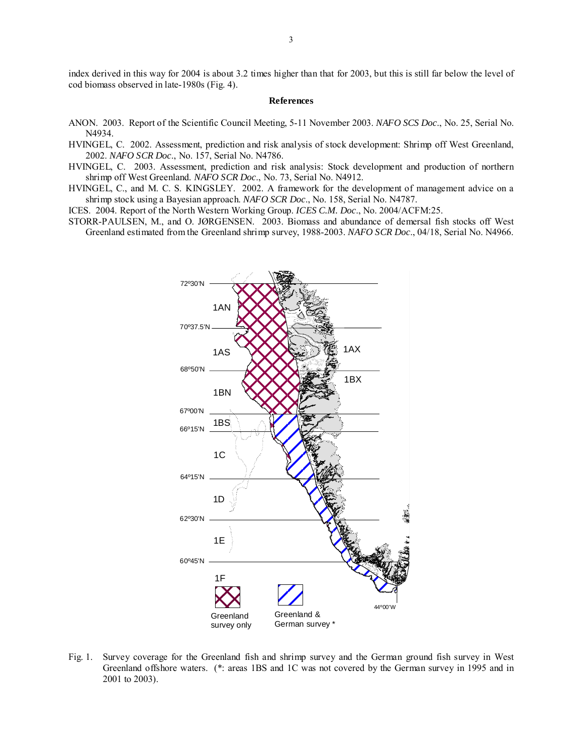index derived in this way for 2004 is about 3.2 times higher than that for 2003, but this is still far below the level of cod biomass observed in late-1980s (Fig. 4).

#### **References**

- ANON. 2003. Report of the Scientific Council Meeting, 5-11 November 2003. *NAFO SCS Doc*., No. 25, Serial No. N4934.
- HVINGEL, C. 2002. Assessment, prediction and risk analysis of stock development: Shrimp off West Greenland, 2002. *NAFO SCR Doc*., No. 157, Serial No. N4786.
- HVINGEL, C. 2003. Assessment, prediction and risk analysis: Stock development and production of northern shrimp off West Greenland. *NAFO SCR Doc*., No. 73, Serial No. N4912.
- HVINGEL, C., and M. C. S. KINGSLEY. 2002. A framework for the development of management advice on a shrimp stock using a Bayesian approach. *NAFO SCR Doc*., No. 158, Serial No. N4787.

ICES. 2004. Report of the North Western Working Group. *ICES C.M. Doc*., No. 2004/ACFM:25.

STORR-PAULSEN, M., and O. JØRGENSEN. 2003. Biomass and abundance of demersal fish stocks off West Greenland estimated from the Greenland shrimp survey, 1988-2003. *NAFO SCR Doc*., 04/18, Serial No. N4966.



Fig. 1. Survey coverage for the Greenland fish and shrimp survey and the German ground fish survey in West Greenland offshore waters. (\*: areas 1BS and 1C was not covered by the German survey in 1995 and in 2001 to 2003).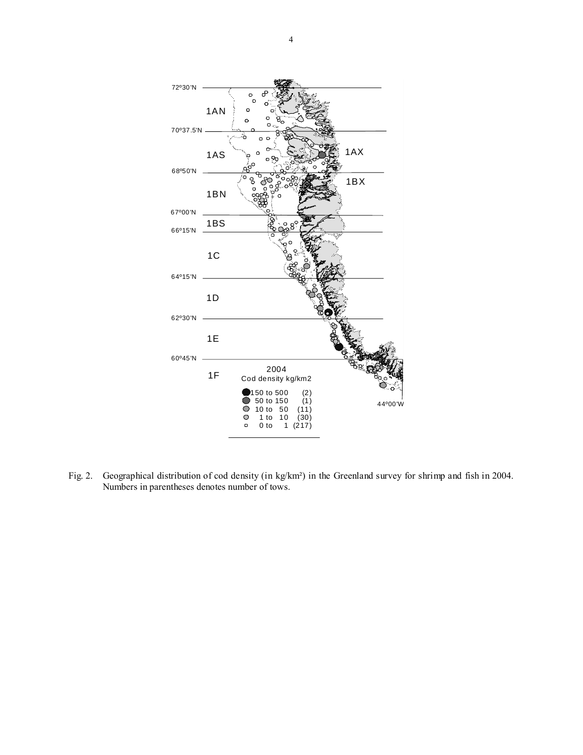

Fig. 2. Geographical distribution of cod density (in kg/km²) in the Greenland survey for shrimp and fish in 2004. Numbers in parentheses denotes number of tows.